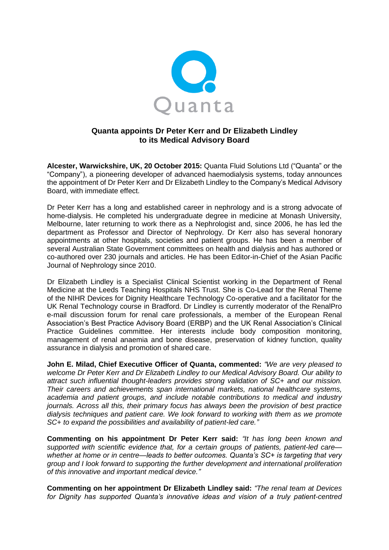

# **Quanta appoints Dr Peter Kerr and Dr Elizabeth Lindley to its Medical Advisory Board**

**Alcester, Warwickshire, UK, 20 October 2015:** Quanta Fluid Solutions Ltd ("Quanta" or the "Company"), a pioneering developer of advanced haemodialysis systems, today announces the appointment of Dr Peter Kerr and Dr Elizabeth Lindley to the Company's Medical Advisory Board, with immediate effect.

Dr Peter Kerr has a long and established career in nephrology and is a strong advocate of home-dialysis. He completed his undergraduate degree in medicine at Monash University, Melbourne, later returning to work there as a Nephrologist and, since 2006, he has led the department as Professor and Director of Nephrology. Dr Kerr also has several honorary appointments at other hospitals, societies and patient groups. He has been a member of several Australian State Government committees on health and dialysis and has authored or co-authored over 230 journals and articles. He has been Editor-in-Chief of the Asian Pacific Journal of Nephrology since 2010.

Dr Elizabeth Lindley is a Specialist Clinical Scientist working in the Department of Renal Medicine at the Leeds Teaching Hospitals NHS Trust. She is Co-Lead for the Renal Theme of the NIHR Devices for Dignity Healthcare Technology Co-operative and a facilitator for the UK Renal Technology course in Bradford. Dr Lindley is currently moderator of the RenalPro e-mail discussion forum for renal care professionals, a member of the European Renal Association's Best Practice Advisory Board (ERBP) and the UK Renal Association's Clinical Practice Guidelines committee. Her interests include body composition monitoring, management of renal anaemia and bone disease, preservation of kidney function, quality assurance in dialysis and promotion of shared care.

**John E. Milad, Chief Executive Officer of Quanta, commented:** *"We are very pleased to welcome Dr Peter Kerr and Dr Elizabeth Lindley to our Medical Advisory Board. Our ability to attract such influential thought-leaders provides strong validation of SC+ and our mission. Their careers and achievements span international markets, national healthcare systems, academia and patient groups, and include notable contributions to medical and industry journals. Across all this, their primary focus has always been the provision of best practice dialysis techniques and patient care. We look forward to working with them as we promote SC+ to expand the possibilities and availability of patient-led care."*

**Commenting on his appointment Dr Peter Kerr said:** *"It has long been known and supported with scientific evidence that, for a certain groups of patients, patient-led care whether at home or in centre—leads to better outcomes. Quanta's SC+ is targeting that very group and I look forward to supporting the further development and international proliferation of this innovative and important medical device."*

**Commenting on her appointment Dr Elizabeth Lindley said:** *"The renal team at Devices for Dignity has supported Quanta's innovative ideas and vision of a truly patient-centred*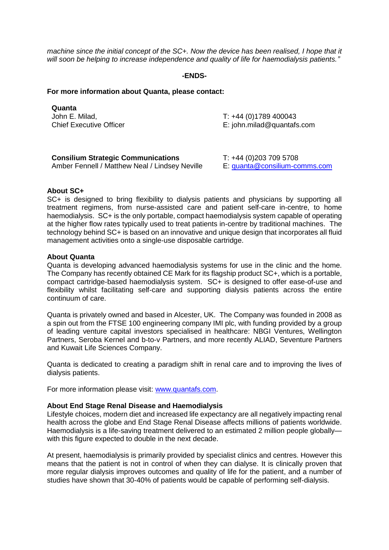*machine since the initial concept of the SC+. Now the device has been realised, I hope that it will soon be helping to increase independence and quality of life for haemodialysis patients."*

# **-ENDS-**

## **For more information about Quanta, please contact:**

| Quanta                         |                              |
|--------------------------------|------------------------------|
| John E. Milad,                 | $T: +44(0)1789400043$        |
| <b>Chief Executive Officer</b> | $E:$ john.milad@quantafs.com |
|                                |                              |

| <b>Consilium Strategic Communications</b>      | T: +44 (0)203 709 5708        |
|------------------------------------------------|-------------------------------|
| Amber Fennell / Matthew Neal / Lindsey Neville | E: guanta@consilium-comms.com |

#### **About SC+**

SC+ is designed to bring flexibility to dialysis patients and physicians by supporting all treatment regimens, from nurse-assisted care and patient self-care in-centre, to home haemodialysis. SC+ is the only portable, compact haemodialysis system capable of operating at the higher flow rates typically used to treat patients in-centre by traditional machines. The technology behind SC+ is based on an innovative and unique design that incorporates all fluid management activities onto a single-use disposable cartridge.

## **About Quanta**

Quanta is developing advanced haemodialysis systems for use in the clinic and the home. The Company has recently obtained CE Mark for its flagship product SC+, which is a portable, compact cartridge-based haemodialysis system. SC+ is designed to offer ease-of-use and flexibility whilst facilitating self-care and supporting dialysis patients across the entire continuum of care.

Quanta is privately owned and based in Alcester, UK. The Company was founded in 2008 as a spin out from the FTSE 100 engineering company IMI plc, with funding provided by a group of leading venture capital investors specialised in healthcare: NBGI Ventures, Wellington Partners, Seroba Kernel and b-to-v Partners, and more recently ALIAD, Seventure Partners and Kuwait Life Sciences Company.

Quanta is dedicated to creating a paradigm shift in renal care and to improving the lives of dialysis patients.

For more information please visit: [www.quantafs.com.](http://www.quantafs.com/)

## **About End Stage Renal Disease and Haemodialysis**

Lifestyle choices, modern diet and increased life expectancy are all negatively impacting renal health across the globe and End Stage Renal Disease affects millions of patients worldwide. Haemodialysis is a life-saving treatment delivered to an estimated 2 million people globally with this figure expected to double in the next decade.

At present, haemodialysis is primarily provided by specialist clinics and centres. However this means that the patient is not in control of when they can dialyse. It is clinically proven that more regular dialysis improves outcomes and quality of life for the patient, and a number of studies have shown that 30-40% of patients would be capable of performing self-dialysis.